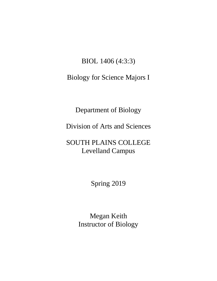# BIOL 1406 (4:3:3)

# Biology for Science Majors I

Department of Biology

Division of Arts and Sciences

# SOUTH PLAINS COLLEGE Levelland Campus

Spring 2019

Megan Keith Instructor of Biology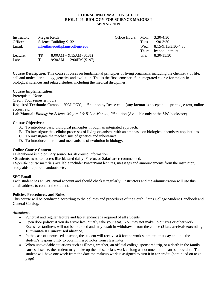### **COURSE INFORMATION SHEET BIOL 1406- BIOLOGY FOR SCIENCE MAJORS I SPRING 2019**

| Instructor: | Megan Keith |                                  | Office Hours: Mon. |       | 3:30-4:30                  |
|-------------|-------------|----------------------------------|--------------------|-------|----------------------------|
| Office:     |             | Science Building S132            |                    | Tues. | $1:30-3:30$                |
| Email:      |             | $m$ keith@southplainscollege.edu |                    |       | Wed. $8:15-9:15/3:30-4:30$ |
|             |             |                                  |                    |       | Thurs. by appointment      |
| Lecture:    | TR          | $8:00AM - 9:15AM(S181)$          |                    | Fri.  | $8:30-11:30$               |
| Lab:        | T           | $9:30AM - 12:00PM(S197)$         |                    |       |                            |

**Course Description:** This course focuses on fundamental principles of living organisms including the chemistry of life, cell and molecular biology, genetics and evolution. This is the first semester of an integrated course for majors in biological sciences and related studies, including the medical disciplines.

#### **Course Implementation:**

Prerequisite: None

Credit: Four semester hours

Required Textbook: Campbell BIOLOGY, 11<sup>th</sup> edition by Reece et al. (any format is acceptable—printed, e-text, online access, etc.)

Lab Manual: *Biology for Science Majors I & II Lab Manual*, 2<sup>nd</sup> edition (Available only at the SPC bookstore)

## **Course Objectives:**

- A. To introduce basic biological principles through an integrated approach.
- B. To investigate the cellular processes of living organisms with an emphasis on biological chemistry applications.
- C. To investigate the mechanisms of genetics and inheritance.
- D. To introduce the role and mechanisms of evolution in biology.

# **Online Course Content**

- Blackboard is the primary source for all course information.
- **Students need to access Blackboard daily**. Firefox or Safari are recommended.

• Specific course materials available include: PowerPoint lectures, messages and announcements from the instructor, study aids, required handouts, etc.

#### **SPC Email**

Each student has an SPC email account and should check it regularly. Instructors and the administration will use this email address to contact the student.

#### **Policies, Procedures, and Rules**

This course will be conducted according to the policies and procedures of the South Plains College Student Handbook and General Catalog.

#### *Attendance*-

- Punctual and regular lecture and lab attendance is required of all students.
- Open door policy: if you do arrive late, quietly take your seat. You may not make up quizzes or other work. Excessive tardiness will not be tolerated and may result in withdrawal from the course (**3 late arrivals exceeding 10 minutes = 1 unexcused absence**).
- In the case of unexcused absence, the student will receive a 0 for the work submitted that day and it is the student's responsibility to obtain missed notes from classmates.
- When unavoidable situations such as illness, weather, an official college-sponsored trip, or a death in the family causes absence, the student may make up the missed class work as long as documentation can be provided. The student will have one week from the date the makeup work is assigned to turn it in for credit. (continued on next page)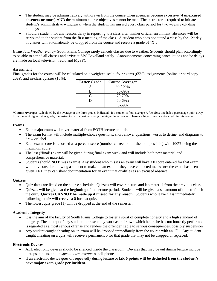- The student may be administratively withdrawn from the course when absences become excessive (**4 unexcused absences or more**) AND the minimum course objectives cannot be met. The instructor is required to initiate a student's administrative withdrawal when the student has missed every class period for two weeks excluding holidays.
- Should a student, for any reason, delay in reporting to a class after his/her official enrollment, absences will be attributed to the student from the first meeting of the class. A student who does not attend a class by the  $12<sup>th</sup>$  day of classes will automatically be dropped from the course and receive a grade of "X".

*Hazardous Weather Policy-* South Plains College rarely cancels classes due to weather. Students should plan accordingly to be able to attend all classes and arrive at SPC Levelland safely. Announcements concerning cancellations and/or delays are made on local television, radio and MySPC.

#### **Assessment**

Final grades for the course will be calculated on a weighted scale: four exams (65%), assignments (online or hard copy-20%), and in-class quizzes (15%).

| <b>Letter Grade</b> | <b>Course Average*</b> |  |  |
|---------------------|------------------------|--|--|
|                     | 90-100%                |  |  |
| B                   | 80-89%                 |  |  |
| ⊂                   | 70-79%                 |  |  |
| I)                  | 60-69%                 |  |  |
| L,                  | $0 - 59%$              |  |  |

\***Course Average**: Calculated by the average of the three grades indicated. If a student's final average *is less than* one half a percentage point away from the next higher letter grade, the instructor will consider giving the higher letter grade. There are NO curves or extra credit in this course.

#### **Exams**

- Each major exam will cover material from BOTH lecture and lab.
- The exam format will include multiple-choice questions, short answer questions, words to define, and diagrams to draw or label.
- Each exam score is recorded as a percent score (number correct out of the total possible) with 100% being the maximum score.
- The last ("final") exam will be given during final exam week and will include both new material and comprehensive material.
- Students should **NOT** miss exams! Any student who misses an exam will have a 0 score entered for that exam. I will only consider allowing a student to make up an exam if they have contacted me **before** the exam has been given AND they can show documentation for an event that qualifies as an excused absence.

#### **Quizzes**

- Quiz dates are listed on the course schedule. Quizzes will cover lecture and lab material from the previous class.
- Quizzes will be given at the **beginning** of the lecture period. Students will be given a set amount of time to finish the quiz. **Quizzes CANNOT be made up if missed for any reason.** Students who leave class immediately following a quiz will receive a 0 for that quiz.
- The lowest quiz grade (1) will be dropped at the end of the semester.

## **Academic Integrity**

- It is the aim of the faculty of South Plains College to foster a spirit of complete honesty and a high standard of integrity. The attempt of any student to present any work as their own which he or she has not honestly performed is regarded as a most serious offense and renders the offender liable to serious consequences, possibly suspension.
- Any student caught cheating on an exam will be dropped immediately from the course with an "F". Any student caught cheating on a quiz will receive a permanent 0 for that grade that may not be dropped or replaced.

#### **Electronic Devices**

- ALL electronic devises should be silenced inside the classroom. Devices that may be out during lecture include laptops, tablets, and in *special circumstances*, cell phones.
- If an electronic device goes off repeatedly during lecture or lab, **5 points will be deducted from the student's next major exam grade per incident.**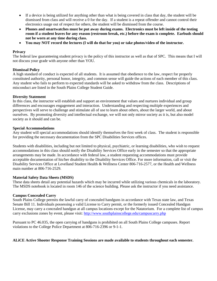- If a device is being utilized for anything other than what is being covered in class that day, the student will be dismissed from class and will receive a 0 for the day. If a student is a repeat offender and cannot control their electronics usage out of respect for others, the student will be dismissed from the course.
- **Phones and smartwatches must be put away during exams. Electronics must be left inside of the testing room if a student leaves for any reason (restroom break, etc.) before the exam is complete. Earbuds should not be worn at any time during class.**
- **You may NOT record the lectures (I will do that for you) or take photos/video of the instructor.**

### **Privacy**

The federal law guaranteeing student privacy is the policy of this instructor as well as that of SPC. This means that I will not discuss your grade with anyone other than YOU.

## **Dismissal Policy**

A high standard of conduct is expected of all students. It is assumed that obedience to the law, respect for properly constituted authority, personal honor, integrity, and common sense will guide the actions of each member of this class. Any student who fails to perform to expected standards will be asked to withdraw from the class. Descriptions of misconduct are listed in the South Plains College Student Guide.

## **Diversity Statement**

In this class, the instructor will establish and support an environment that values and nurtures individual and group differences and encourages engagement and interaction. Understanding and respecting multiple experiences and perspectives will serve to challenge and stimulate all of use to learn about others, about the larger world, and about ourselves. By promoting diversity and intellectual exchange, we will not only mirror society as it is, but also model society as it should and can be.

## **Special Accommodations**

Any student will special accommodations should identify themselves the first week of class. The student is responsible for providing the necessary documentation from the SPC Disabilities Services offices.

Students with disabilities, including but not limited to physical, psychiatric, or learning disabilities, who wish to request accommodations in this class should notify the Disability Services Office early in the semester so that the appropriate arrangements may be made. In accordance with federal law, a student requesting accommodations must provide acceptable documentation of his/her disability to the Disability Services Office. For more information, call or visit the Disability Services Office at Levelland Student Health & Wellness Center 806-716-2577, or the Health and Wellness main number at 806-716-2529.

# **Material Safety Data Sheets (MSDS)**

These data sheets detail any potential hazards which may be incurred while utilizing various chemicals in the laboratory. The MSDS notebook is located in room 146 of the science building. Please ask the instructor if you need assistance.

# **Campus Concealed Carry**

South Plains College permits the lawful carry of concealed handguns in accordance with Texas state law, and Texas Senate Bill 11. Individuals possessing a valid License to Carry permit, or the formerly issued Concealed Handgun License, may carry a concealed handgun at all campus locations except for the Natatorium. For a complete list of campus carry exclusions zones by event, please visit: <http://www.southplainscollege.edu/campuscarry.php>

Pursuant to PC 46.035, the open carrying of handguns is prohibited on all South Plains College campuses. Report violations to the College Police Department at 806-716-2396 or 9-1-1.

# **ALiCE Active Shooter Response Training Sessions are made available to students throughout each semester.**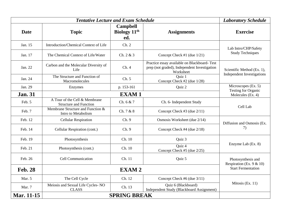|                | <b>Laboratory Schedule</b>                                     |                                                    |                                                                                                          |                                                          |  |
|----------------|----------------------------------------------------------------|----------------------------------------------------|----------------------------------------------------------------------------------------------------------|----------------------------------------------------------|--|
| <b>Date</b>    | <b>Topic</b>                                                   | <b>Campbell</b><br>Biology 11 <sup>th</sup><br>ed. | <b>Assignments</b>                                                                                       | <b>Exercise</b>                                          |  |
| Jan. 15        | Introduction/Chemical Context of Life                          | Ch. 2                                              |                                                                                                          | Lab Intro/CHP/Safety<br><b>Study Techniques</b>          |  |
| Jan. 17        | The Chemical Context of Life/Water                             | Ch. 2 & 3                                          | Concept Check #1 (due 1/21)                                                                              |                                                          |  |
| Jan. 22        | Carbon and the Molecular Diversity of<br>Life                  | Ch.4                                               | Practice essay available on Blackboard-Test<br>prep (not graded), Independent Investigation<br>Worksheet | Scientific Method (Ex. 1),<br>Independent Investigations |  |
| Jan. 24        | The Structure and Function of<br>Macromolecules                | Ch. 5                                              | Quiz 1<br>Concept Check #2 (due 1/28)                                                                    |                                                          |  |
| Jan. 29        | Enzymes                                                        | p. 153-161                                         | Quiz 2                                                                                                   | Microscopes (Ex. 5)<br>Testing for Organic               |  |
| <b>Jan. 31</b> | <b>EXAM1</b>                                                   |                                                    |                                                                                                          | Molecules (Ex. 4)                                        |  |
| Feb. 5         | A Tour of the Cell & Membrane<br><b>Structure and Function</b> | Ch. 6 & 7                                          | Ch. 6- Independent Study                                                                                 | Cell Lab                                                 |  |
| Feb. 7         | Membrane Structure and Function &<br>Intro to Metabolism       | Ch. 7 & 8                                          | Concept Check #3 (due 2/11)                                                                              |                                                          |  |
| Feb. 12        | <b>Cellular Respiration</b>                                    | Ch. 9                                              | Osmosis Worksheet (due 2/14)                                                                             | Diffusion and Osmosis (Ex.<br>7)                         |  |
| Feb. 14        | Cellular Respiration (cont.)                                   | Ch. 9                                              | Concept Check #4 (due 2/18)                                                                              |                                                          |  |
| Feb. 19        | Photosynthesis                                                 | Ch. 10                                             | Quiz 3                                                                                                   |                                                          |  |
| Feb. 21        | Photosynthesis (cont.)                                         | Ch. 10                                             | Quiz 4<br>Concept Check #5 (due 2/25)                                                                    | Enzyme Lab (Ex. 8)                                       |  |
| Feb. 26        | <b>Cell Communication</b>                                      | Ch. 11<br>Quiz 5                                   |                                                                                                          | Photosynthesis and<br>Respiration (Ex. $9 & 10$ )        |  |
| <b>Feb. 28</b> |                                                                | <b>Start Fermentation</b>                          |                                                                                                          |                                                          |  |
| Mar. 5         | The Cell Cycle                                                 | Ch. 12                                             | Concept Check #6 (due 3/11)                                                                              | Mitosis (Ex. 11)                                         |  |
| Mar. 7         | Meiosis and Sexual Life Cycles-NO<br><b>CLASS</b>              | Ch. 13                                             | Quiz 6 (Blackboard)<br>Independent Study (Blackboard Assignment)                                         |                                                          |  |
| Mar. 11-15     | <b>SPRING BREAK</b>                                            |                                                    |                                                                                                          |                                                          |  |